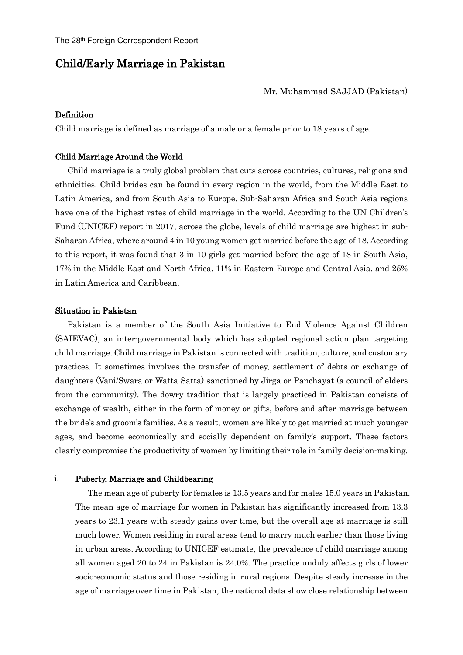# Child/Early Marriage in Pakistan

### Mr. Muhammad SAJJAD (Pakistan)

# Definition

Child marriage is defined as marriage of a male or a female prior to 18 years of age.

#### Child Marriage Around the World

Child marriage is a truly global problem that cuts across countries, cultures, religions and ethnicities. Child brides can be found in every region in the world, from the Middle East to Latin America, and from South Asia to Europe. Sub-Saharan Africa and South Asia regions have one of the highest rates of child marriage in the world. According to the UN Children's Fund (UNICEF) report in 2017, across the globe, levels of child marriage are highest in sub-Saharan Africa, where around 4 in 10 young women get married before the age of 18. According to this report, it was found that 3 in 10 girls get married before the age of 18 in South Asia, 17% in the Middle East and North Africa, 11% in Eastern Europe and Central Asia, and 25% in Latin America and Caribbean.

## Situation in Pakistan

Pakistan is a member of the South Asia Initiative to End Violence Against Children (SAIEVAC), an inter-governmental body which has adopted regional action plan targeting child marriage. Child marriage in Pakistan is connected with tradition, culture, and customary practices. It sometimes involves the transfer of money, settlement of debts or exchange of daughters (Vani/Swara or Watta Satta) sanctioned by Jirga or Panchayat (a council of elders from the community). The dowry tradition that is largely practiced in Pakistan consists of exchange of wealth, either in the form of money or gifts, before and after marriage between the bride's and groom's families. As a result, women are likely to get married at much younger ages, and become economically and socially dependent on family's support. These factors clearly compromise the productivity of women by limiting their role in family decision-making.

#### i. Puberty, Marriage and Childbearing

The mean age of puberty for females is 13.5 years and for males 15.0 years in Pakistan. The mean age of marriage for women in Pakistan has significantly increased from 13.3 years to 23.1 years with steady gains over time, but the overall age at marriage is still much lower. Women residing in rural areas tend to marry much earlier than those living in urban areas. According to UNICEF estimate, the prevalence of child marriage among all women aged 20 to 24 in Pakistan is 24.0%. The practice unduly affects girls of lower socio-economic status and those residing in rural regions. Despite steady increase in the age of marriage over time in Pakistan, the national data show close relationship between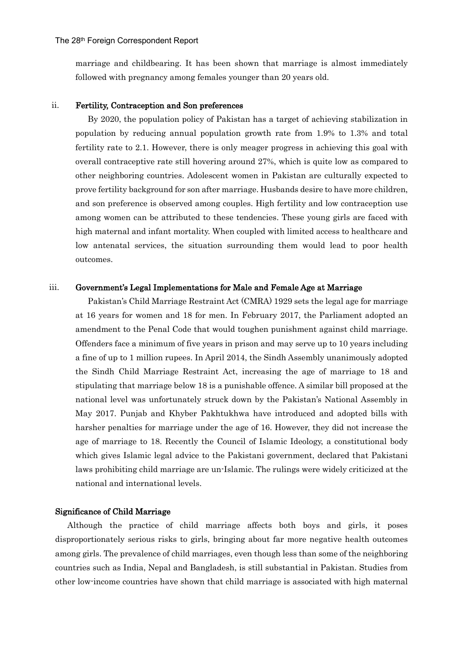marriage and childbearing. It has been shown that marriage is almost immediately followed with pregnancy among females younger than 20 years old.

#### ii. Fertility, Contraception and Son preferences

By 2020, the population policy of Pakistan has a target of achieving stabilization in population by reducing annual population growth rate from 1.9% to 1.3% and total fertility rate to 2.1. However, there is only meager progress in achieving this goal with overall contraceptive rate still hovering around 27%, which is quite low as compared to other neighboring countries. Adolescent women in Pakistan are culturally expected to prove fertility background for son after marriage. Husbands desire to have more children, and son preference is observed among couples. High fertility and low contraception use among women can be attributed to these tendencies. These young girls are faced with high maternal and infant mortality. When coupled with limited access to healthcare and low antenatal services, the situation surrounding them would lead to poor health outcomes.

#### iii. Government's Legal Implementations for Male and Female Age at Marriage

Pakistan's Child Marriage Restraint Act (CMRA) 1929 sets the legal age for marriage at 16 years for women and 18 for men. In February 2017, the Parliament adopted an amendment to the Penal Code that would toughen punishment against child marriage. Offenders face a minimum of five years in prison and may serve up to 10 years including a fine of up to 1 million rupees. In April 2014, the Sindh Assembly unanimously adopted the Sindh Child Marriage Restraint Act, increasing the age of marriage to 18 and stipulating that marriage below 18 is a punishable offence. A similar bill proposed at the national level was unfortunately struck down by the Pakistan's National Assembly in May 2017. Punjab and Khyber Pakhtukhwa have introduced and adopted bills with harsher penalties for marriage under the age of 16. However, they did not increase the age of marriage to 18. Recently the Council of Islamic Ideology, a constitutional body which gives Islamic legal advice to the Pakistani government, declared that Pakistani laws prohibiting child marriage are un-Islamic. The rulings were widely criticized at the national and international levels.

### Significance of Child Marriage

Although the practice of child marriage affects both boys and girls, it poses disproportionately serious risks to girls, bringing about far more negative health outcomes among girls. The prevalence of child marriages, even though less than some of the neighboring countries such as India, Nepal and Bangladesh, is still substantial in Pakistan. Studies from other low-income countries have shown that child marriage is associated with high maternal